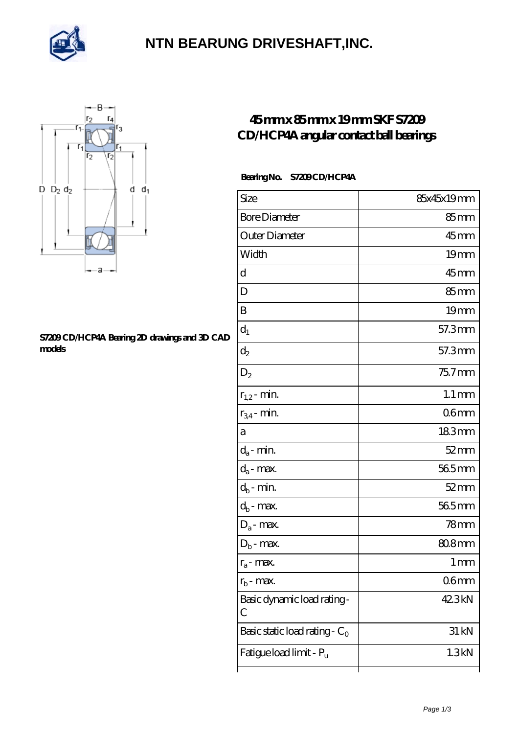

### **[NTN BEARUNG DRIVESHAFT,INC.](https://mylovecoachoutletsonline.net)**



#### **[S7209 CD/HCP4A Bearing 2D drawings and 3D CAD](https://mylovecoachoutletsonline.net/pic-422456.html) [models](https://mylovecoachoutletsonline.net/pic-422456.html)**

### **[45 mm x 85 mm x 19 mm SKF S7209](https://mylovecoachoutletsonline.net/az-422456-skf-s7209-cd-hcp4a-angular-contact-ball-bearings.html) [CD/HCP4A angular contact ball bearings](https://mylovecoachoutletsonline.net/az-422456-skf-s7209-cd-hcp4a-angular-contact-ball-bearings.html)**

#### Bearing No. S7209 CD/HCP4A

| Size                             | 85x45x19mm         |
|----------------------------------|--------------------|
| <b>Bore Diameter</b>             | 85mm               |
| Outer Diameter                   | $45$ mm            |
| Width                            | 19 <sub>mm</sub>   |
| d                                | 45mm               |
| D                                | $85 \text{mm}$     |
| B                                | 19mm               |
| $d_1$                            | 57.3mm             |
| $\mathrm{d}_2$                   | 57.3mm             |
| $D_2$                            | $757$ mm           |
| $r_{1,2}$ - min.                 | $1.1 \, \text{mm}$ |
| $r_{34}$ - min.                  | 06 <sub>mm</sub>   |
| а                                | 183mm              |
| $d_a$ - min.                     | $52 \text{mm}$     |
| $d_a$ - max.                     | 565mm              |
| $d_b$ - min.                     | $52$ mm            |
| $d_b$ - $\max$                   | 565mm              |
| $D_a$ - max.                     | 78mm               |
| $D_b$ - max.                     | 808mm              |
| $r_a$ - max.                     | $1 \, \text{mm}$   |
| $r_{\rm b}$ - max.               | 06mm               |
| Basic dynamic load rating-<br>С  | 42.3kN             |
| Basic static load rating - $C_0$ | 31 kN              |
| Fatigue load limit - Pu          | 1.3kN              |
|                                  |                    |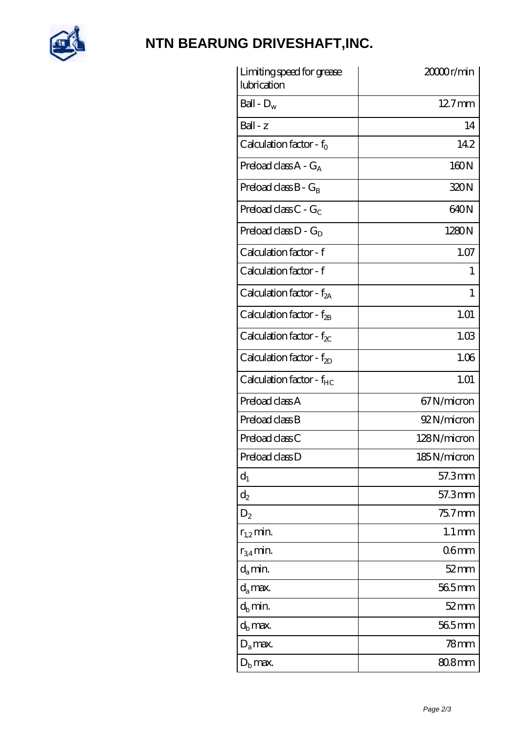

# **[NTN BEARUNG DRIVESHAFT,INC.](https://mylovecoachoutletsonline.net)**

| Limiting speed for grease<br>lubrication | 20000r/min          |
|------------------------------------------|---------------------|
| Ball - $D_w$                             | $127$ mm            |
| Ball - z                                 | 14                  |
| Calculation factor - $f_0$               | 142                 |
| Preload class $A - G_A$                  | 160N                |
| Preload class $B - G_B$                  | 320N                |
| Preload class $C - G_C$                  | 640N                |
| Preload class $D - G_D$                  | 1280N               |
| Calculation factor - f                   | 1.07                |
| Calculation factor - f                   | T                   |
| Calculation factor - $f_{2A}$            | 1                   |
| Calculation factor - $f_{\mathcal{B}}$   | 1.01                |
| Calculation factor - $f_{\chi}$          | 1.03                |
| Calculation factor - $f_{2D}$            | 1.06                |
| Calculation factor - f <sub>HC</sub>     | 1.01                |
| Preload class A                          | 67 N/micron         |
| Preload class B                          | 92N/micron          |
| Preload class C                          | 128N/micron         |
| Preload class D                          | 185N/micron         |
| $d_1$                                    | 57.3mm              |
| $\mathrm{d}_2$                           | 57.3mm              |
| $D_2$                                    | $757$ mm            |
| $r_{1,2}$ min.                           | $1.1 \,\mathrm{mm}$ |
| $r_{34}$ min.                            | 06 <sub>mm</sub>    |
| $d_{a}$ min.                             | $52 \text{mm}$      |
| $d_a$ max.                               | $565$ mm            |
| $d_h$ min.                               | $52 \text{mm}$      |
| $d_h$ max.                               | 565mm               |
| $D_a$ max.                               | 78mm                |
| $D_{\rm b}$ max.                         | 80.8mm              |